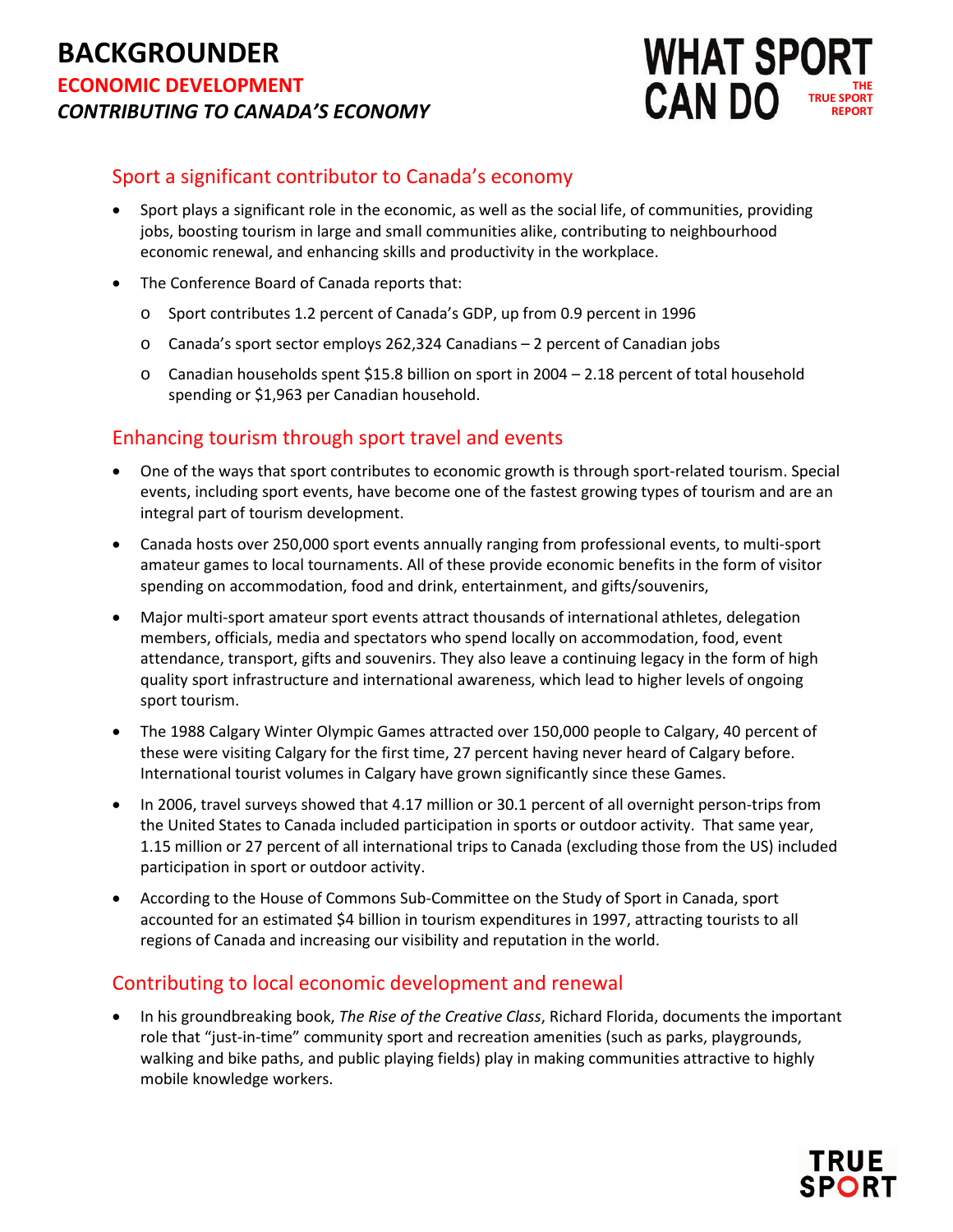## **BACKGROUNDER ECONOMIC DEVELOPMENT** *CONTRIBUTING TO CANADA'S ECONOMY*



#### Sport a significant contributor to Canada's economy

- Sport plays a significant role in the economic, as well as the social life, of communities, providing jobs, boosting tourism in large and small communities alike, contributing to neighbourhood economic renewal, and enhancing skills and productivity in the workplace.
- The Conference Board of Canada reports that:
	- o Sport contributes 1.2 percent of Canada's GDP, up from 0.9 percent in 1996
	- o Canada's sport sector employs 262,324 Canadians 2 percent of Canadian jobs
	- o Canadian households spent \$15.8 billion on sport in 2004 2.18 percent of total household spending or \$1,963 per Canadian household.

#### Enhancing tourism through sport travel and events

- One of the ways that sport contributes to economic growth is through sport-related tourism. Special events, including sport events, have become one of the fastest growing types of tourism and are an integral part of tourism development.
- Canada hosts over 250,000 sport events annually ranging from professional events, to multi-sport amateur games to local tournaments. All of these provide economic benefits in the form of visitor spending on accommodation, food and drink, entertainment, and gifts/souvenirs,
- Major multi-sport amateur sport events attract thousands of international athletes, delegation members, officials, media and spectators who spend locally on accommodation, food, event attendance, transport, gifts and souvenirs. They also leave a continuing legacy in the form of high quality sport infrastructure and international awareness, which lead to higher levels of ongoing sport tourism.
- The 1988 Calgary Winter Olympic Games attracted over 150,000 people to Calgary, 40 percent of these were visiting Calgary for the first time, 27 percent having never heard of Calgary before. International tourist volumes in Calgary have grown significantly since these Games.
- In 2006, travel surveys showed that 4.17 million or 30.1 percent of all overnight person-trips from the United States to Canada included participation in sports or outdoor activity. That same year, 1.15 million or 27 percent of all international trips to Canada (excluding those from the US) included participation in sport or outdoor activity.
- According to the House of Commons Sub-Committee on the Study of Sport in Canada, sport accounted for an estimated \$4 billion in tourism expenditures in 1997, attracting tourists to all regions of Canada and increasing our visibility and reputation in the world.

#### Contributing to local economic development and renewal

• In his groundbreaking book, *The Rise of the Creative Class*, Richard Florida, documents the important role that "just-in-time" community sport and recreation amenities (such as parks, playgrounds, walking and bike paths, and public playing fields) play in making communities attractive to highly mobile knowledge workers.